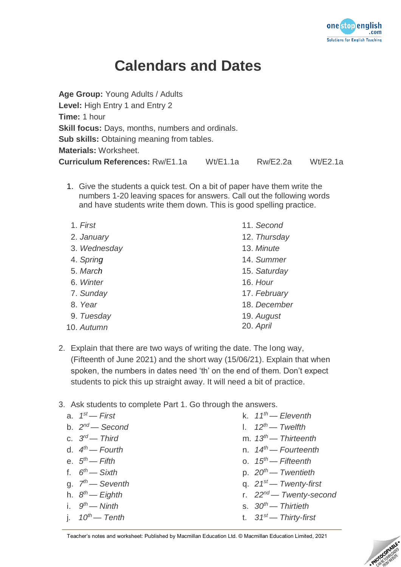

### **Calendars and Dates**

| Rw/E2.2a<br>Wt/E2.1a |
|----------------------|
|                      |

1. Give the students a quick test. On a bit of paper have them write the numbers 1-20 leaving spaces for answers. Call out the following words and have students write them down. This is good spelling practice.

| 1. First     | 11. Second   |
|--------------|--------------|
| 2. January   | 12. Thursday |
| 3. Wednesday | 13. Minute   |
| 4. Spring    | 14. Summer   |
| 5. March     | 15. Saturday |
| 6. Winter    | 16. Hour     |
| 7. Sunday    | 17. February |
| 8. Year      | 18. December |
| 9. Tuesday   | 19. August   |
| 10. Autumn   | 20. April    |

- 2. Explain that there are two ways of writing the date. The long way, (Fifteenth of June 2021) and the short way (15/06/21). Explain that when spoken, the numbers in dates need 'th' on the end of them. Don't expect students to pick this up straight away. It will need a bit of practice.
- 3. Ask students to complete Part 1. Go through the answers.
	- a. *1 st — First* b. *2 nd — Second*
	- c. *3 rd — Third*
	- d. *4 th — Fourth*
	- e. *5 th — Fifth*
	- f. *6 th — Sixth*
	- g. *7 th — Seventh*
	- h. *8 th — Eighth*
	- i. *9 th — Ninth*
	- j. *10th — Tenth*
- k. *11th — Eleventh*
- l. *12th — Twelfth*
- m. *13th — Thirteenth*
- n. *14th — Fourteenth*
- o. *15th — Fifteenth*
- p. *20th — Twentieth*
- q. *21st — Twenty-first*
- r. *22nd — Twenty-second*
- s. *30th — Thirtieth*
- t. *31st — Thirty-first*

Teacher's notes and worksheet: Published by Macmillan Education Ltd. © Macmillan Education Limited, 2021

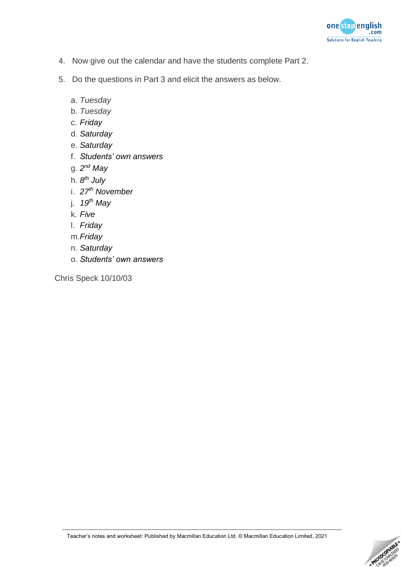

- 4. Now give out the calendar and have the students complete Part 2.
- 5. Do the questions in Part 3 and elicit the answers as below.
	- a. *Tuesday*
	- b. *Tuesday*
	- c. *Friday*
	- d. *Saturday*
	- e. *Saturday*
	- f. *Students' own answers*
	- g. *2 nd May*
	- h. *8 th July*
	- i. *27 th November*
	- j. *19th May*
	- k. *Five*
	- l. *Friday*
	- m.*Friday*
	- n. *Saturday*
	- o. *Students' own answers*

Chris Speck 10/10/03

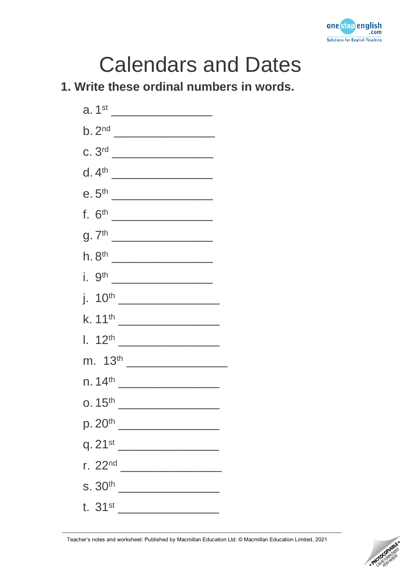

# Calendars and Dates

#### **1. Write these ordinal numbers in words.**



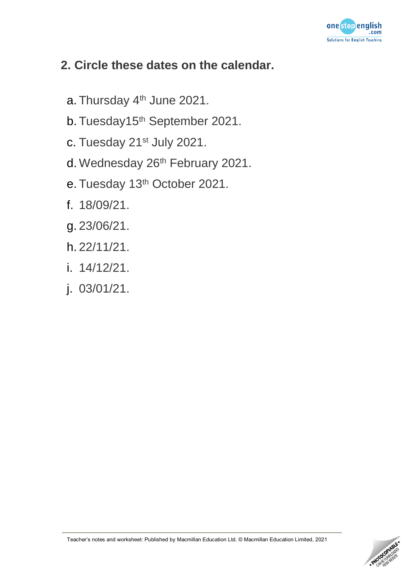

#### **2. Circle these dates on the calendar.**

- a. Thursday 4<sup>th</sup> June 2021.
- b. Tuesday15<sup>th</sup> September 2021.
- c. Tuesday 21st July 2021.
- d. Wednesday 26<sup>th</sup> February 2021.
- e. Tuesday 13<sup>th</sup> October 2021.
- f. 18/09/21.
- g. 23/06/21.
- h. 22/11/21.
- i. 14/12/21.
- j. 03/01/21.

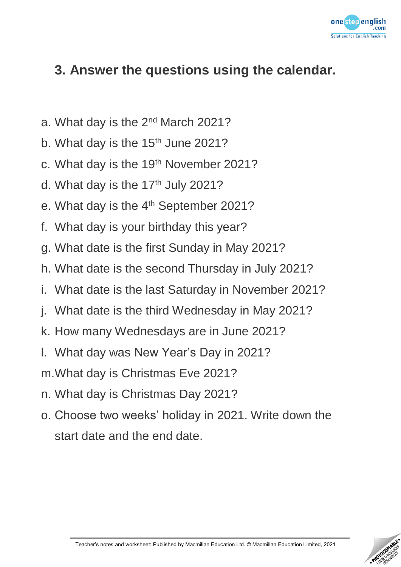

#### **3. Answer the questions using the calendar.**

- a. What day is the 2nd March 2021?
- b. What day is the 15<sup>th</sup> June 2021?
- c. What day is the 19<sup>th</sup> November 2021?
- d. What day is the  $17<sup>th</sup>$  July 2021?
- e. What day is the  $4<sup>th</sup>$  September 2021?
- f. What day is your birthday this year?
- g. What date is the first Sunday in May 2021?
- h. What date is the second Thursday in July 2021?
- i. What date is the last Saturday in November 2021?
- j. What date is the third Wednesday in May 2021?
- k. How many Wednesdays are in June 2021?
- l. What day was New Year's Day in 2021?
- m.What day is Christmas Eve 2021?
- n. What day is Christmas Day 2021?
- o. Choose two weeks' holiday in 2021. Write down the start date and the end date.